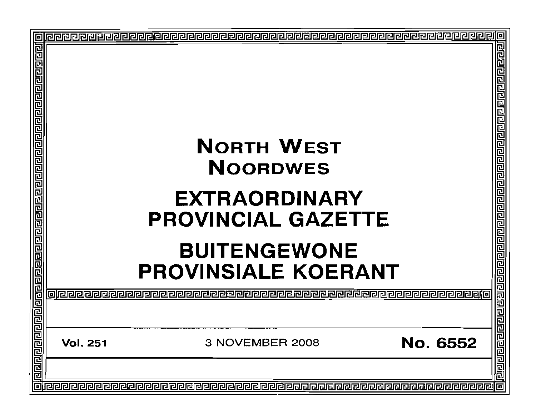|                 | <b>NORTH WEST</b><br><b>NOORDWES</b><br><b>EXTRAORDINARY</b><br><b>PROVINCIAL GAZETTE</b><br><b>BUITENGEWONE</b><br><b>PROVINSIALE KOERANT</b> | ē<br>림리         |  |
|-----------------|------------------------------------------------------------------------------------------------------------------------------------------------|-----------------|--|
| <b>Vol. 251</b> | 3 NOVEMBER 2008                                                                                                                                | <b>No. 6552</b> |  |
|                 |                                                                                                                                                | 민리<br>同         |  |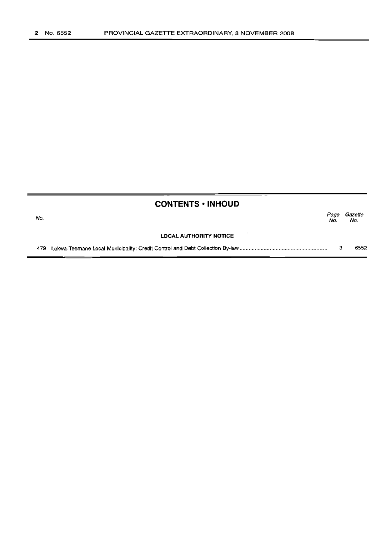$\sim$ 

| <b>CONTENTS · INHOUD</b> |                               |             |                |  |
|--------------------------|-------------------------------|-------------|----------------|--|
| No.                      |                               | Page<br>No. | Gazette<br>No. |  |
|                          | <b>LOCAL AUTHORITY NOTICE</b> |             |                |  |
| 479                      |                               | 3           | 6552           |  |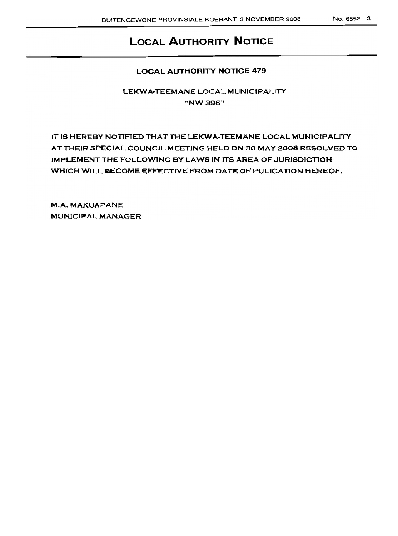# **LOCAL AUTHORITY NOTICE**

# LOCAL AUTHORITY NOTICE 479

LEKWA-TEEMANE LOCAL MUNICIPALITY "NW396"

IT IS HEREBY NOTIFIED THAT THE LEKWA-TEEMANE LOCAL MUNICIPALITY AT THEIR SPECIAL COUNCIL MEETING HELD ON 30 MAY 2008 RESOLVED TO IMPLEMENTTHE FOLLOWING BY·LAWS IN ITS AREA OF JURISDICTION WHICH WILL BECOME EFFECTIVE FROM DATE OF PULICATION HEREOF.

M.A. MAKUAPANE MUNICIPAL MANAGER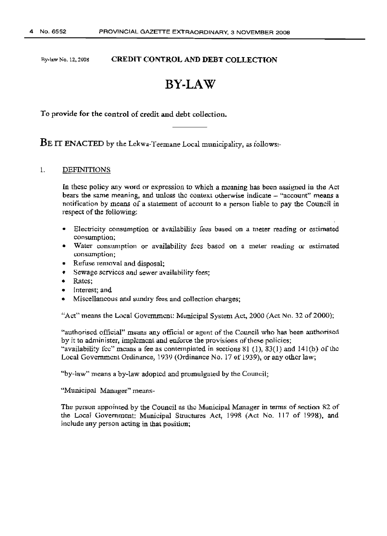#### Ry-lawNo.12,2008 CREDIT CONTROL AND DEBT COLLECTION

# **BY-LAW**

To provide for the control of credit and debt collection.

BE IT ENACTED by the Lekwa-Teemane Local municipality, as follows:-

#### 1. DEFINITIONS

In these policy any word or expression to which a meaning has been assigned in the Act bears the same meaning, and unless the context otherwise indicate – "account" means a notification by means of a statement of account to a person liable to pay the Council in respect of the following:

- Electricity consumption or availability fees based on a meter reading or estimated consumption;
- Water consumption or availability fees based on a meter reading or estimated consumption;
- Refuse removal and disposal;
- Sewage services and sewer availability fees;
- Rates;
- Interest: and
- Miscellaneous and sundry fees and collection charges;

"Act" means the Local Government: Municipal System Act,  $2000$  (Act No. 32 of 2000);

"authorised official" means any official or agent of the Council who has been authorised by it to administer, implement and enforce the provisions of these policies; "availability fcc" means a fee as contemplated in sections  $81$  (1),  $83(1)$  and  $141(b)$  of the Local Government Ordinance, 1939 (Ordinance No. 17 of 1939), or any other law;

"by-law" means a by-law adopted and promulgated by the Council;

"Municipal Manager" means-

The person appointed by the Council as the Municipal Manager in terms of section 82 of the Local Government: Municipal Structures Act, 199R (Act No. 117 of 1998), and include any person acting in that position;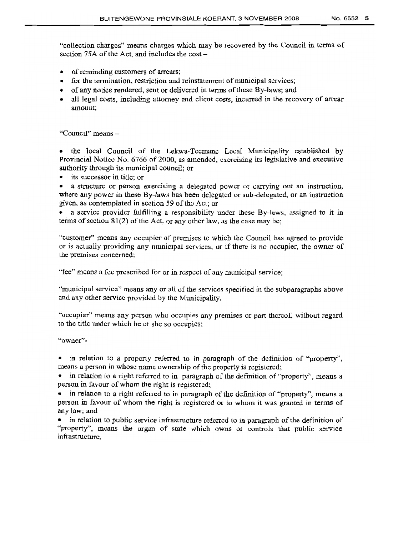"collection charges" means charges which may be recovered by the Council in terms of section 75A of the Act, and includes the cost $-$ 

- of reminding customers of arrears;
- for the termination, restriction and reinstatement of municipal services;
- of any notice rendered, sent or delivered in terms of these By-laws; and
- all legal costs, including attorney and client costs, incurred in the recovery of arrear amount;

"Council" means -

• the local Council of the Lekwa-Tccmanc Local Municipality established by Provincial Notice No. 6766 of 2000, as amended, exercising its legislative and executive authority through its municipal council; or

• its successor in title; or

a structure or person exercising a delegated power or carrying out an instruction, where any power in these By-laws has been delegated or sub-delegated, or an instruction given, as contemplated in section 59 of the Act; or

a service provider fulfilling a responsibility under these By-laws, assigned to it in terms of section 81(2) of the Act, or any other law, as the case may be;

"customer" means any occupier of premises to whieh lhc Council has agreed to provide or is actually providing any municipal services, or if there is no occupier, the owner of the premises concerned;

"tee" means a fee prescribed for or in respect of any municipal service;

"municipal service" means any or all of the services specified in the subparagraphs above and any other service provided by the Municipality.

"occupier" means any person who occupies any premises or part thereof, without regard to the title under which he or she so occupies;

"owner"-

in relation to a property referred to in paragraph of the definition of "property", means a person in whose name ownership of the property is registered;

in relation to a right referred to in paragraph of the definition of "property", means a person in favour of whom the right *is* registered;

• in relation to a right referred to in paragraph of the definition of "property", means a person in favour of whom the right is registered or to whom it was granted in terms of any law; and

in relation to public service infrastructure referred to in paragraph of the definition of "property", means the organ of state which owns or controls that public service infrastructurc,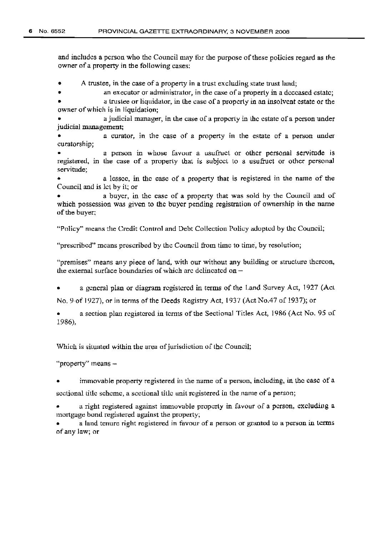and includes a person who the Council may tor the purpose ofthese policies regard as the owner of a property in the following cases;

• A trustee, in the case of a property in a trust excluding state trust land;

an executor or administrator, in the case of a property in a deceased estate;

• a trustee or liquidator, in the case of a properly in an insolvent estate or the owner ofwhich is in liquidation;

• a judicial manager, in the case of a property in the estate of a person under judicial management;

a curator, in the case of a property in the estate of a person under curatorship;

a person in whose favour a usufruct or other personal servitude is registered, in the case of a property that is subject to a usufruct or other personal servitude;

a lessee, in the case of a property that is registered in the name of the Council and is let by it; or

a buyer, in the case of a property that was sold by the Council and of which possession was given to thc buyer pending registration of ownership in the name of the buyer;

"Policy" means the Credit Control and Debt Collection Policy adopted by the Council;

"prescribed" means prescribed by the Council from time to time, by resolution;

"premises" means any piece of land, with our without any building or structure thereon, the external surface boundaries of which arc delineated on $-$ 

• a general plan or diagram registered in terms of the Land Survey Act, 1927 (Act

No, 9-ofl927), or in terms of the Deeds Registry Act, 1937 (Act No.47 of 1937); or

a section plan registered in terms of the Sectional Titles Act, 1986 (Act No. 95 of 1986),

Which is situated within the area of jurisdiction of the Council;

"property" means -

• immovable property registered in the name of a person, including, in the case of a sectional title scheme, a sectional title unit registered in the name of a person;

• a right registered against immovable properly in favour of a person, excluding a mortgage bond registered against the property;

a land tenure right registered in favour of a person or granted to a person in terms of any law; or -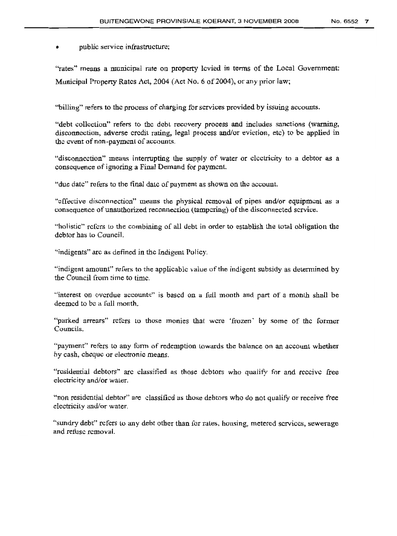public service infrastructure;

"rates" means a municipal rate on property levied in terms of the Local Government: Municipal Property Rates Act, 2004 (Act No. 6 of 2004), or any prior law;

"billing" refers to the process of charging tor services provided by issuing accounts.

"debt collection" refers to the debt recovery process and includes sanctions (warning, disconnection, adverse credit rating, legal process and/or eviction, etc) to be applied in the event of non-payment of accounts.

"disconnection" means interrupting the supply of water or electricity to a debtor as a consequence of ignoring a Final Demand for payment

"due date" refers to the final date of payment as shown on the account.

"effective disconnection" means the physical removal of pipes and/or equipment as a consequence of unauthorized reconnection (tampering) of the disconnected service.

"holistic" refers to the combining of all debt in order to establish the total obligation the debtor has to Council.

"indigents" are as defined in the Indigent Policy.

"indigent amount" refers to the applicable value ofthe indigent subsidy as determined by the Council from time to time.

"interest on overdue accounts" is based on a full month and part of a month shall be deemed to be a full month.

"parked arrears" refers to those monies that were 'frozen' by some of the former Councils.

"payment" refers to any form of redemption towards the balance on an account whether by cash, cheque or electronic means,

"residential debtors" arc classified as those debtors who quality for and receive free electricity and/or water,

"non residential debtor" are classified as those debtors who do not qualify or receive free electricity and/or water.

"sundry debt" refers to any debt other than for rates, housing, metered services, sewerage and refuse removal.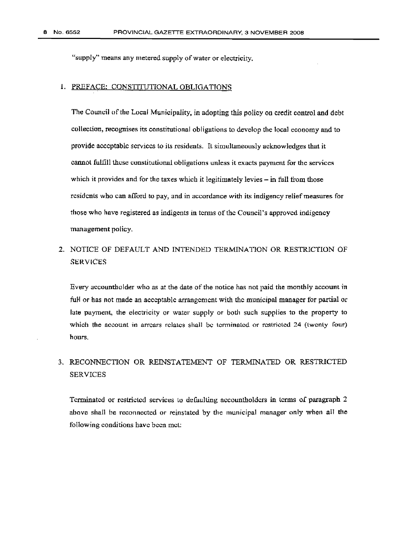"supply" means any metered supply of water or electricity.

#### 1. PREFACE: CONSTITUTIONAL OBLIGATIONS

The Council of the Local Municipality, in adopting this policy on credit control and debt collection, recognises its constitutional obligations to develop the local economy and to provide acceptable services to its residents. It simultaneously acknowledges that it cannot fulfill these constitutional obligations unless it exacts payment for the services which it provides and for the taxes which it legitimately levies  $-$  in full from those residents who can afford to pay, and in accordance with its indigency relief measures for those who have registered as indigents in terms ofthe Council's approved indigency management policy.

# 2. NOTICE OF DEFAULT AND INTENDED TERMINATION OR RESTRICTION OF **SERVICES**

Every accountholder who as at the date of the notice has not paid the monthly account in full or has not made an acceptable arrangement with the municipal manager for partial or late payment, the electricity or water supply or both such supplies to the property to which the account in arrears relates shall be terminated or restricted 24 (twenty four) hours.

# 3. RECONNECTION OR REINSTATEMENT OF TERMINATED OR RESTRICTED SERVICES

Terminated or restricted services to defaulting accountholdcrs in terms of paragraph 2 above shall be reconnected or reinstated by the municipal manager only when all the following conditions have been met: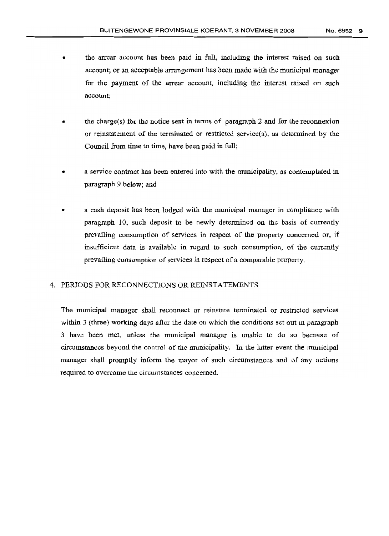- the arrear account has been paid in full, including the interest raised on such account; or an acceptable arrangement has been made with the municipal manager for the payment of the arrear account, including the interest raised on such account;
- the charge(s) for the notice sent in terms of paragraph 2 and for the reconnexion or reinstatement of the terminated or restricted service(s), as determined by the Council from time to time, have been paid in full;
- a service contract has been entered into with the municipality, as contemplated in paragraph 9 below; and
- a cash deposit has been lodged with the municipal manager in compliance with paragraph 10, such deposit to be newly determined on the basis of currently prevailing consumption of services in respect of the property concerned or, if insufficient data is available in regard to such consumption, of the currently prevailing consumption of services in respect of a comparable property.

#### 4. PERIODS FOR RECONNECTIONS OR REINSTATEMENTS.

The municipal manager shall reconnect or reinstate terminated or restricted services within 3 (three) working days after the date on which the conditions set out in paragraph 3 have been met, unless the municipal manager *is* unable to do so because of circumstances beyond the control of the municipality, In. the latter event the municipal manager shall promptly inform the mayor of such circumstances and of any actions required to overcome the circumstances concerned,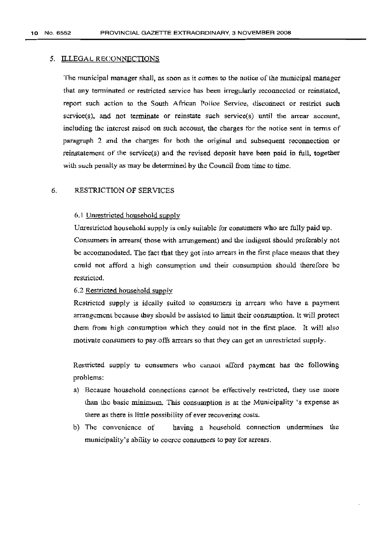#### 5. ILLEGAL RECONNECTIONS

The municipal manager shall, as soon as it comes to the notice of the municipal manager that any terminated or restricted service has been irregularly reconnected or reinstated, report such action to the South African Police Service, disconnect or restrict such  $s$ crvice(s), and not terminate or reinstate such service(s) until the arrear account, including the interest raised on sueh account, the charges tor the notice sent in terms of paragraph 2 and the charges for both the original and subsequent reconnection or reinstatement of the service(s) and the revised deposit have been paid in full, together with such penalty as may be determined by the Council from time to time.

#### 6. RESTRICTION OF SERVICES

#### 6.1 Unrestricted household supply

Unrestricted household supply is only suitable for consumers who are fully paid up. Consumers in arrears( those with arrangement) and the indigent should preferably not be accommodated. The fact that they got into arrears in the first place means that they could not afford a high consumption and their consumption should therefore be restricted.

#### 6,2 Restricted household supplv

Restricted supply is ideally suited to consumers in arrears who have a payment arrangement because they should be assisted to limit their consumption. It will protect them from high consumption which they could not in the first place. It will also motivate consumers to pay.ofts arrears so that they can get an unrestricted supply.

Restricted supply to consumers who cannot afford payment has the following problems:

- a) Because household connections cannot he effectively restricted, they use more than the basic minimum. This consumption is at the Municipality's expense as there as there is little possibility of ever recovering costs.
- b) The convenience of having a household connection undermines the municipality's ability to coerce consumers to pay for arrears.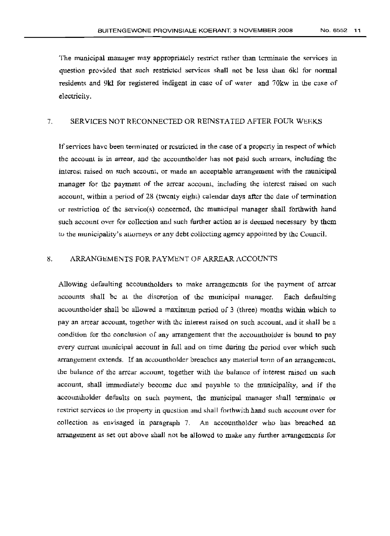The municipal manager may appropriately restrict rather than terminate the services in question provided that such restricted services shall not be less than 6kl for normal residents and 9kl tor registered indigent in case of of water and 70kw in the case of electricity.

# 7. SERVICES NOT RECONNECTED OR REINSTATED AFTER FOUR WEEKS

If services have been terminated or restricted in the case of a property in respect of which the account is in arrear. and thc accountholder has not paid such arrears, including the interest raised on such account, or made an acceptable arrangement with the municipal manager tor the payment of the arrear account, including the interest raised on such account, within a period of 28 (twenty eight) calendar days after the dale of termination or restriction of the servicets) concerned, the municipal manager shall forthwith hand such account over for collection and such further action as is deemed necessary by them to the municipality's auomeys or any debt collecting agency appointed by the Council.

#### 8. ARRANGEMENTS FOR PAYMENT OF ARREAR ACCOUNTS

Allowing defaulting accounthclders to make arrangements for the payment of arrear accounts shall be at the discretion of the municipal manager. Each defaulting accountholder shall be allowed a maximum period of 3 (three) months within which to pay an arrear account, together with the interest raised on such account, and it shall be a condition for the conclusion of any arrangement that the accountholder is bound to pay every current municipal account in full and on time during the period over which such arrangement extends. If an accountholder breaches any material term of an arrangement, the balance of the arrear account, together with the balance of interest raised on such account, shall immediately become due and payable to the municipality, and if the accountholder defaults on such payment, the municipal manager shall terminate or restrict services to the property in question and shall forthwith hand such account over for collection as envisaged in paragraph 7. An accountholdcr who has breached an arrangement as set out above shall not be allowed to make any further arrangements for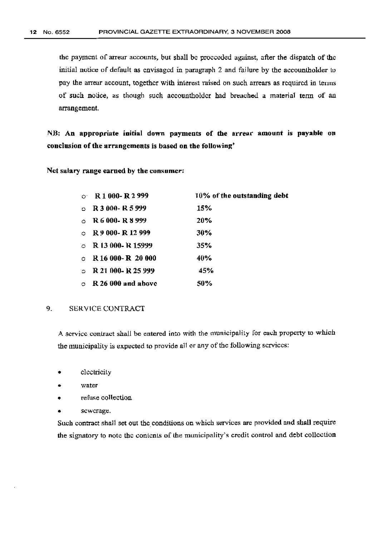the payment of arrear accounts, but shall be proceeded against, after the dispatch of the initial notice of default as envisaged in paragraph 2 and fai lure by the accountholder to pay the arrear account, together with interest raised on such arrears as required in terms of such notice, as though such accountholder had breached a material term of an arrangement.

NB: An appropriate initial down payments of the arrear amount is payable on conclusion of the arrangements is based on the following'

Net salary range earned by the consumer:

| $\Omega$ . | R1000-R2999                | 10% of the outstanding debt |
|------------|----------------------------|-----------------------------|
| $\circ$    | R 3 000-R 5 999            | 15%                         |
| $\circ$    | R 6 000- R 8 999           | 20%                         |
|            | $\circ$ R 9 000-R 12 999   | 30%                         |
|            | $\circ$ R 13 000-R 15999   | 35%                         |
|            | $\circ$ R 16 000-R 20 000  | 40%                         |
| $\circ$    | R 21 000- R 25 999         | 45%                         |
|            | $\circ$ R 26 000 and above | 50%                         |

#### 9. SERVICE CONTRACT

A service contract shall be entered into with the municipality for each property to which the municipality is expected to provide all or any of the following services:

- electricity
- water
- refuse collection
- sewerage.

Such contract shall set out the conditions on which services are provided and shall require the signatory to note the contents of the municipality's credit control and debt collection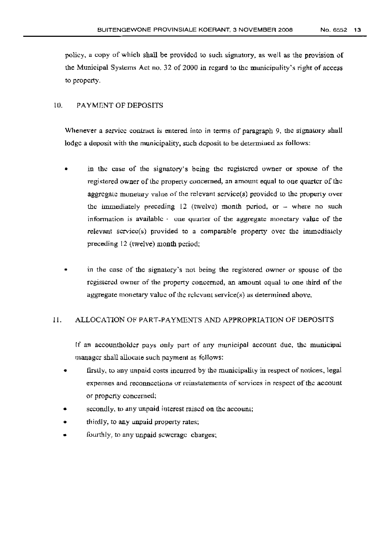policy, a cupy of which shall be provided to such signatory, as well as the provision of the Municipal Systems Act no. 32 of 2000 **in** regard to the municipality's right of access to property.

#### 10. PAYMENT OF DEPOSITS

Whenever a service contract is entered into in terms of paragraph 9, the signatory shall lodge a deposit with the municipality, such deposit to be determined as follows:

- in the case of the signatory's being the registered owner or spouse of the registered owner of the property concerned, an amount equal to one quarter of the aggregate monetary value of the relevant service( $s$ ) provided to the property over the immediately preceding  $12$  (twelve) month period, or - where no such information is available  $\cdot$  one quarter of the aggregate monetary value of the  $relevant$  scrvice $(s)$  provided to a comparable property over the immediately preceding 12 (twelve) month period;
- in the case of the signatory's not being the registered owner or spouse of the registered owner of the property concerned, an amount equal tu one third of the aggregate monetary value of the relevant service( $s$ ) as determined above.

#### 11. ALLOCATION OF PART-PAYMENTS AND APPROPRIATION OF DEPOSITS

If an accountholdcr pays only part of any municipal account due, the municipal manager shall allocate such payment as follows:

- firstly, to any unpaid costs incurred by the municipality in respect of notices, legal expenses and reconnections or reinstatements of services in respect of the account or property concerned;
- secondly, to any unpaid interest raised on the account;
- thirdly, to any unpaid property rates;
- fourthly, to any unpaid sewerage charges;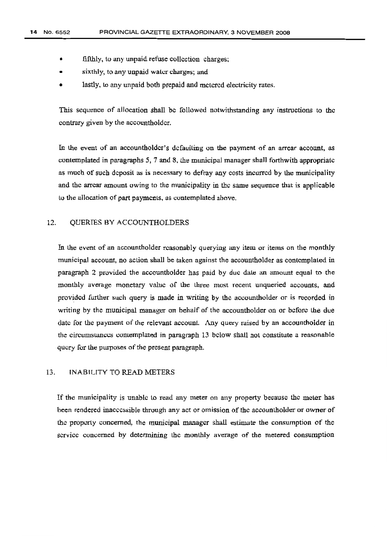- fifthly, to any unpaid refuse collection charges;
- sixthly, to any unpaid water charges; and
- lastly, to any unpaid both prepaid and metered electricity rates.

This sequence of allocation shall be followed notwithstanding any instructions to the contrary given by the accountholdcr.

In the event of an accountholder's defaulting on the payment of an arrear account, as contemplated in paragraphs 5, 7 and 8, the municipal manager shall forthwith appropriate as much of such deposit as is necessary to defray any costs incurred by the municipality and the arrear amount owing to the municipality in the same sequence that is applicable to the allocation of part payments, as contemplated above.

#### 12. QUERIES BY ACCOUNTHOLDERS

In the event of an accountholder reasonably querying any item or items on the monthly municipal account, no action shall be taken against the accountholder as contemplated in paragraph 2 provided the accountholder has paid by due date an amount equal to the monthly average monetary value of the three most recent unqueried accounts, and provided further such query is made in writing by the accountholder or is recorded in writing by the municipal manager on behalf of the accountholder on or before the due date [or the payment of the relevant account. Any query raised by an accountholder in the circumstances contemplated in paragraph 13 below shall not constitute a reasonahle query for the purposes of the present paragraph.

#### 13. INABILITY TO READ METERS

If the municipality is unable to read any meter on any property because the meter has been rendered inaccessible through any act or omission of the accountholder or owner of the property concerned, the municipal manager shall estimate the consumption of the service concerned by determining the monthly average of the metered consumption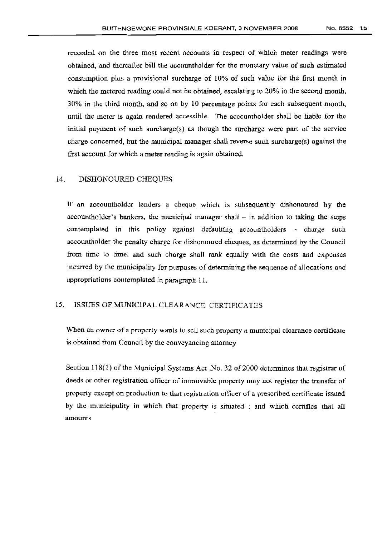recorded on the three most recent accounts in respect of which meter readings were obtained, and thereafter bill the accountholder for the monetary value of such estimated consumption plus a provisional surcharge of 10% of such value for the Iirst month in which the metered reading could not be obtained, escalating to 20% in the second month, 30% in the third month, and so on by 10 percentage points for each subsequent month, until the meter is again rendered accessible. The accountholder shall be liable for the initial payment of such surcharge $(s)$  as though the surcharge were part of the service charge concerned, but the municipal manager shall reverse such surcharge(s) against the first account for which a meter reading is again obtained.

#### 14. DISHONOURED CHEQUES

If an accountholder tenders a cheque which is subsequently dishonoured by the accountholder's bankers, the municipal manager shall  $-$  in addition to taking the steps contemplated in this policy against defaulting accountholders - charge such accountholder the penalty charge for dishonoured cheques, as determined by the Council from time to time, and such charge shall rank equally with the costs and expenses incurred by the municipality for purposes of determining the sequence of allocations and appropriations contemplated in paragraph 11.

# 15. ISSUES OF MUNICiPAL CLEARANCD CERTIFICATES

When an owner of a property wants to sell such property a municipal clearance certificate is obtained from Council by the conveyancing attorney

Section  $118(1)$  of the Municipal Systems Act ,No. 32 of 2000 determines that registrar of deeds or other registration officer of immovable property may not register the transfer of property except on production to that registration officer of a prescribed certificate issued by the municipality in which that property is situated ; and which certifies that all amounts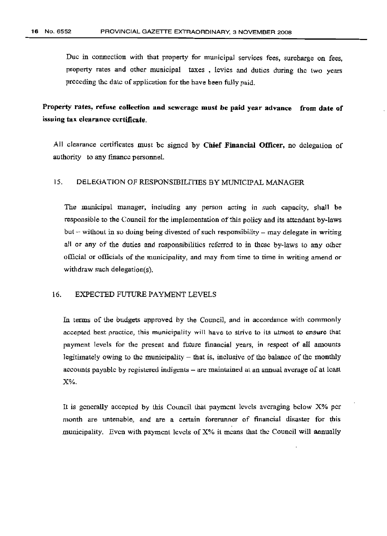Due in connection with that property for municipal services fees, surcharge on tees, property rates and other municipal taxes, levies and duties during the two years preceding the dale of application for the have been fully paid.

Property rates, refuse collection and sewerage must be paid year advance from date of issuing tax clearance certificate.

All clearance certificates must be signed by Chief Financial Officer, no delegation of authority to any finance personnel.

#### 15. DELEGATION OF RESPONSIBILITIES BY MUNICIPAL MANAGER

The municipal manager, including any person acting in such capacity, shall be responsible to the Council for the implementation of this policy and its attendant by-laws but  $-$  without in so doing being divested of such responsibility  $-$  may delegate in writing all or any of the duties and responsibilities referred to in these by-laws to any other official or officials of the municipality, and may from time to time in writing amend or withdraw such delegation(s).

#### 16. EXPECTED FUTURE PAYMENT LEVELS

In terms of the budgets approved by the Council, and in accordance with commonly accepted best practice, this municipality will have to strive to its utmost 10 ensure that payment levels for the present and future financial years, in respect of all amounts legitimately owing to the municipality  $-$  that is, inclusive of the balance of the monthly accounts payable by registered indigents – are maintained at an annual average of at least X%.

It is generally accepted by this Council that payment levels averaging below X% per month are untenable, and are a certain forerunner of financial disaster for this municipality. Even with payment levels of X% it means that the Council will annually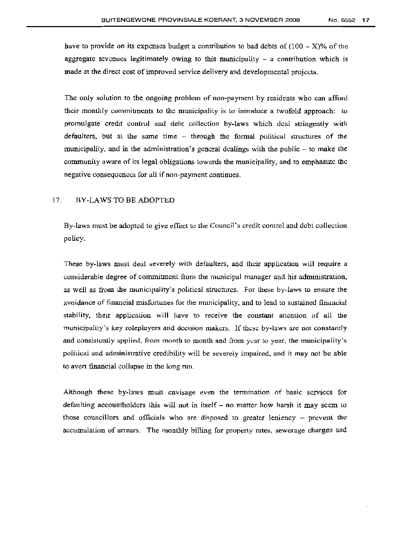have to provide on its expenses budget a contribution to bad debts of  $(100 - X)$ % of the aggregate revenues legitimately owing to this municipality  $-$  a contribution which is made at the direct cost of improved service delivery and developmental projects.

The only solution to the ongoing problem of non-payment by residents who can afford their monthly commitments to the municipality is to introduce a twofold approach: to promulgate credit control and debt collection by-laws which deal stringently with defaulters, but at the same time - through the formal political structures of the municipality, and in the administration's general dealings with the public  $-$  to make the community aware of its legal obligations towards the municipality, and to emphasize the negative consequences [or all if non-payment continues.

#### 17. BY-LAWS TO BE ADOPTED

By-laws must be adopted to give effect to the Council's credit control and debt collection policy.

These by-laws must deal severely with defaulters, and their application will require a considerable degree of commitment from the municipal manager and his administration, as well as from the municipality's political structures. For these by-laws to ensure the avoidance of financial misfortunes for the municipality, and to lead to sustained financial stability, their application will have to receive the constant attention of all the municipality's key roleplayers and decision makers. If these by-laws arc not constantly and consistently applied, from month to month and from year to year, the municipality's political and administrative credibility will be severely impaired, and it may not be able to avert financial collapse in the long run.

Although these by-laws must envisage even the termination of basic services for defaulting accountholders this will not in itself  $-$  no matter how harsh it may seem to those councillors and officials who are disposed to greater leniency - prevent the accumulation of arrears. The monthly billing for property rates, sewerage charges and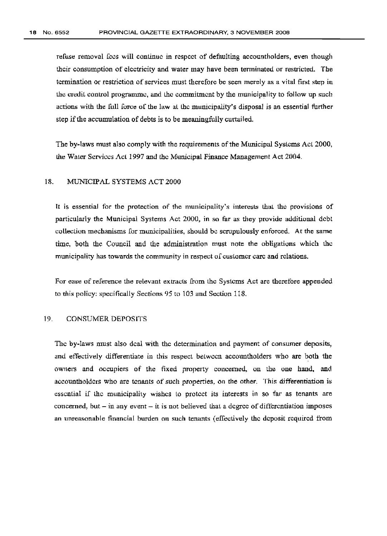refuse removal fees will continue in respect of defaulting accountholders, even though their consumption of electricity and water may have been terminated or restricted. The termination or restriction of services must therefore be seen merely as a vital first step in the credit control programme, and the commitment by the municipality to follow up such actions with the full force of the law at the municipality's disposal *is* an essential further step if the accumulation of debts is to be meaningfully curtailed.

The by-laws must also comply with the requirements of the Municipal Systems Act 2000, the Water Services Act 1997 and the Municipal Finance Management Act 2004.

#### 18. MUNICIPAL SYSTEMS ACT 2000

lt is essential for the protection of the municipality's interests that the provisions of particularly the Municipal Systems Act 2000, in so far as they provide additional debt collection mechanisms for municipalities, should be scrupulously enforced. At the same time, both the Council and the administration must note the obligations which the municipality has towards the community in respect of customer care and relations.

For ease of reference the relevant extracts from the Systems Act are therefore appended to this policy: specifically Sections 95 to 103 and Section 118.

#### 19. CONSUMER DEPOSITS

The by-laws must also deal with the determination and payment of consumer deposits, and effectively differentiate in this respect between accountholders who are both the owners and occupiers of the fixed property concerned, on the one hand, and accountholdcrs who are tenants of such properties, on the other. This differentiation is essential if the municipality wishes to protect its interests in so far as tenants are concerned, but  $-$  in any event  $-$  it is not believed that a degree of differentiation imposes an unreasonable financial burden on such tenants (effectively the deposit required from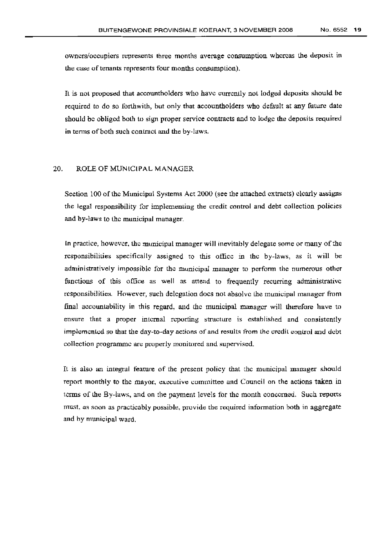owners/occupiers represents three months average consumption whereas the deposit in the case of tenants represents four months consumption).

It is not proposed that accountholders who have currently not lodged deposits should be required to do so forthwith, but only that accountholders who default at any future date should be obliged both to sign proper service contracts and to lodge the deposits required in terms of both such contract and the by-laws.

#### 20. ROLE OF MUNICIPAL MANAGER

Section 100 of the Municipal Systems Act 2000 (see the attached extracts) clearly assigns the legal responsibility for implementing the credit control and debt collection policies and by-laws to the municipal manager.

In practice, however, the municipal manager will inevitably delegate some or many ofthe responsibilities specifically assigned to this office in the by-laws, as it will be administratively impossible for the municipal manager to perform the numerous other functions of this office as well as attend to frequently recurring administrative responsibilities. However, such delegation does not absolve the municipal manager from final accountability in this regard, and the municipal manager will therefore have to ensure that a proper internal reporting structure is established and consistently implemented so that the day-to-day actions of and results from the credit control and debt collection programme are properly monitored and supervised.

It is also an integral feature of the present policy that the municipal manager should report monthly to the mayor, executive committee and Council on the actions taken in terms of the By-laws, and on the payment levels tor the month concerned. Such reports must, as soon as practicably possible, provide the required information both in aggregate and by municipal ward.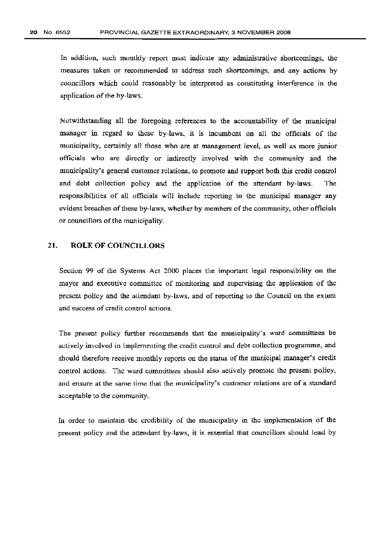In addition, such monthly report must indicate any administrative shortcomings, the measures taken or recommended to address such shortcomings, and any actions by councillors which could reasonably be interpreted as constituting interference in the application of the by-laws.

Notwithstanding all the foregoing references to the accountability of the municipal manager in regard to these by-laws, it is incumbent on all the officials of the municipality, certainly all those who are at management level; as well as more junior officials who are directly or indirectly involved with the community and the municipality's general customer relations, to promote and support both this credit control and debt collection policy and the application of the attendant by-laws. The responsibilities of all officials will include reporting to the municipal manager any evident breaches of these by-laws, whether by members of the community, other officials or councillors of the municipality.

#### 21. ROLE OF COUNCILLORS

Section 99 uf the Systems Act 2000 places the important legal responsibility on the mayor and executive committee of monitoring and supervising the application of the present policy and the attendant by-laws, and of reporting to the Council un the extent and success of credit control actions.

The present. policy further recommends that the municipality's ward committees be actively involved in implementing the credit control and debt collection programme, and should therefore receive monthly reports on thc status of the municipal manager's credit control actions. The ward committees should also actively promote the present policy, and ensure at the same time that the municipality's customer relations are of a standard acceptable to the community.

In order to maintain the credibility of the municipality in the implementation of the present policy and the attendant by-laws, it is essential that councillors should lead by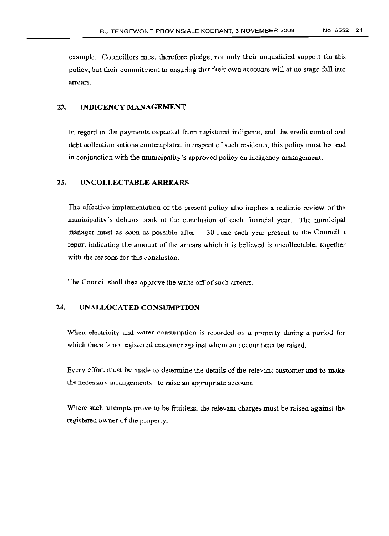example. Councillors must therefore pledge, not only their unqualified support for this policy, but their commitment to ensuring that their own accounts will at no stage tall into arrears.

### 22. INDIGENCY MANAGEMENT

In regard to the payments expected from registered indigents, and the credit control and debt collection actions contemplated in respect of such residents, this policy must be read in conjunction with the municipality's approved policy on indigcncy management.

#### 23. UNCOLLECTABLE ARREARS

The effective implementation of the present policy also implies a realistic review of the municipality's debtors book at the conclusion of each financial year. The municipal manager must as soon as possible after 30 June each year present to the Council a report indicating the amount of the arrears which it is believed is uncollectable, together with the reasons for this conclusion.

The Council shall then approve the write off of such arrears.

# 24. UNALLOCATED CONSUMPTION

When electricity and water consumption is recorded on a property during a period for which there is no registered customer against whom an account can be raised.

Every effort must be made to determine the details of the relevant customer and to make the necessary arrangements to raise an appropriate account.

Where such attempts prove to be fruitless, the relevant charges must be raised against the registered owner of the property.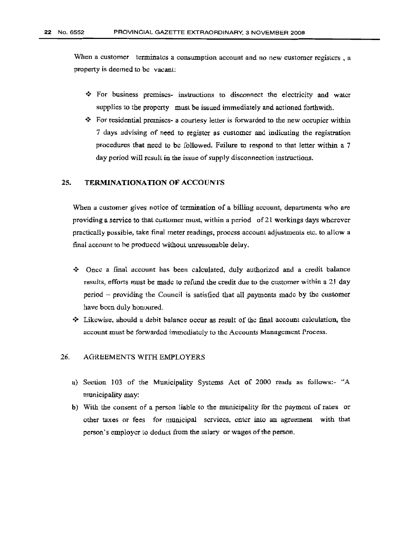When a customer terminates a consumption account and no new customer registers, a property is deemed to be vacant:

- $\hat{\mathbf{v}}$  For business premises- instructions to disconnect the electricity and water supplies to the property must be issued immediately and actioned forthwith.
- $\mathbf{\hat{P}}$  For residential premises- a courtesy letter is forwarded to the new occupier within 7 days advising of need to register as customer and indicating the registration procedures that need to be followed. Failure to respond to that letter within a 7 day period will result in the issue of supply disconnection instructions.

#### 25. TERMINATIONATION OF ACCOUNTS

When a customer gives notice of termination of a billing account, departments who are providing a service to that customer must, within a period of 21 workings days wherever practically possible, take final meter readings, process account adjustments etc. to allow a final account to he produced without unreasonable delay.

- •:. Once a final account has been calculated, duly authorized and a credit balance results, efforts must be made to refund the credit due to the customer within a 2] day period - providing the Council is satisfied that all payments made by the customer have been duly honoured.
- $\div$  Likewise, should a debit balance occur as result of the final account calculation, the account must be forwarded immediately to the Accounts Management Process.

#### 26. AGREEMENTS WITH EMPLOYERS

- a) Section 103 of the Municipality Systems Act of 2000 reads as follows:- "A municipality may:
- b) With the consent of a person liable to the municipality for the payment of rates or other taxes or fees tor municipal services, enter into an agreement with that person's employer to deduct from the salary or wages of the person.